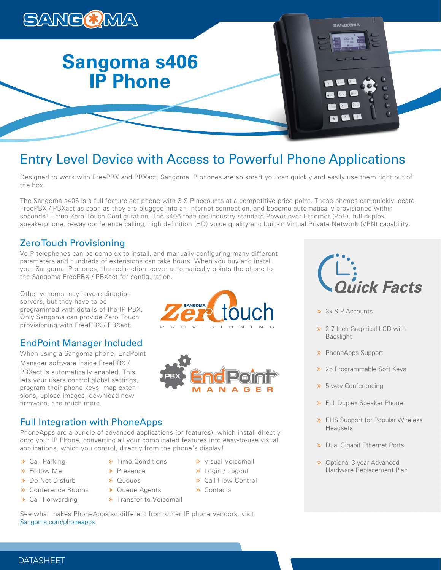

# Entry Level Device with Access to Powerful Phone Applications

Designed to work with FreePBX and PBXact, Sangoma IP phones are so smart you can quickly and easily use them right out of the box.

The Sangoma s406 is a full feature set phone with 3 SIP accounts at a competitive price point. These phones can quickly locate FreePBX / PBXact as soon as they are plugged into an Internet connection, and become automatically provisioned within seconds! – true Zero Touch Configuration. The s406 features industry standard Power-over-Ethernet (PoE), full duplex speakerphone, 5-way conference calling, high definition (HD) voice quality and built-in Virtual Private Network (VPN) capability.

# Zero Touch Provisioning

VoIP telephones can be complex to install, and manually configuring many different parameters and hundreds of extensions can take hours. When you buy and install your Sangoma IP phones, the redirection server automatically points the phone to the Sangoma FreePBX / PBXact for configuration.

Other vendors may have redirection servers, but they have to be programmed with details of the IP PBX. Only Sangoma can provide Zero Touch provisioning with FreePBX / PBXact.

# EndPoint Manager Included

When using a Sangoma phone, EndPoint Manager software inside FreePBX / PBXact is automatically enabled. This lets your users control global settings, program their phone keys, map extensions, upload images, download new firmware, and much more.





# Full Integration with PhoneApps

PhoneApps are a bundle of advanced applications (or features), which install directly onto your IP Phone, converting all your complicated features into easy-to-use visual applications, which you control, directly from the phone's display!

- Call Parking
- Follow Me
- > Do Not Disturb
- Conference Rooms
- Call Forwarding
- **»** Queue Agents

> Time Conditions > Presence **»** Queues

- > Transfer to Voicemail
- **»** Visual Voicemail
- Login / Logout
	- > Call Flow Control
- **»** Contacts
	-

See what makes PhoneApps so different from other IP phone vendors, visit: Sangoma.com/phoneapps



- > 3x SIP Accounts
- **>> 2.7 Inch Graphical LCD with** Backlight
- > PhoneApps Support
- >> 25 Programmable Soft Keys
- 5-way Conferencing
- **»** Full Duplex Speaker Phone
- **»** EHS Support for Popular Wireless Headsets
- **»** Dual Gigabit Ethernet Ports
- Optional 3-year Advanced Hardware Replacement Plan